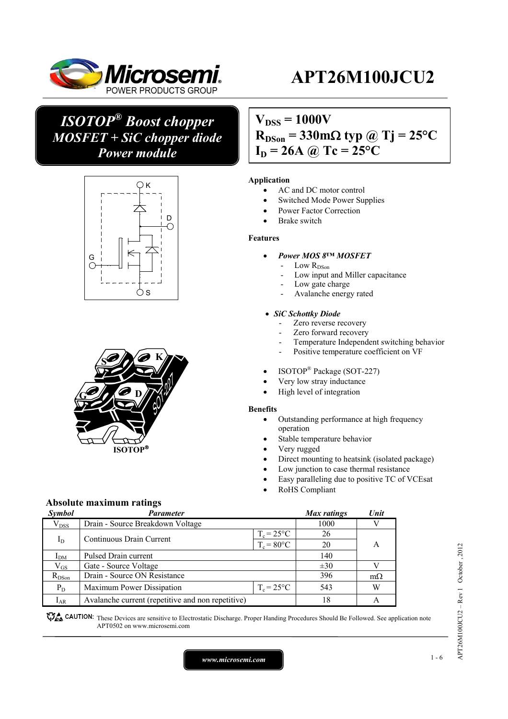

## *ISOTOP® Boost chopper MOSFET + SiC chopper diode Power module*





## $V_{DSS} = 1000V$  $R_{DSon} = 330 \text{m}\Omega$  typ @ Tj = 25<sup>o</sup>C  $I_D = 26A \omega$  Tc = 25°C

### **Application**

- AC and DC motor control
- Switched Mode Power Supplies
- Power Factor Correction
- Brake switch

#### **Features**

- *Power MOS 8™ MOSFET* 
	- Low  $R_\mathrm{DSon}$
	- Low input and Miller capacitance
	- Low gate charge
	- Avalanche energy rated

#### *SiC Schottky Diode*

- Zero reverse recovery
- Zero forward recovery
- Temperature Independent switching behavior
- Positive temperature coefficient on VF
- ISOTOP® Package (SOT-227)
- Very low stray inductance
- High level of integration

#### **Benefits**

- Outstanding performance at high frequency operation
- Stable temperature behavior
- Very rugged
- Direct mounting to heatsink (isolated package)
- Low junction to case thermal resistance
- Easy paralleling due to positive TC of VCEsat
- RoHS Compliant

### **Absolute maximum ratings**

| Symbol        | Parameter                                         |                      | <b>Max</b> ratings | Unit           |
|---------------|---------------------------------------------------|----------------------|--------------------|----------------|
| $\rm V_{DSS}$ | Drain - Source Breakdown Voltage                  |                      | 1000               |                |
|               | Continuous Drain Current                          | $T_c = 25$ °C        | 26                 |                |
| $I_D$         |                                                   | $T_c = 80^{\circ}$ C | 20                 | A              |
| $I_{DM}$      | Pulsed Drain current                              |                      |                    |                |
| $\rm V_{GS}$  | Gate - Source Voltage                             |                      | $\pm 30$           |                |
| $R_{DSon}$    | Drain - Source ON Resistance                      |                      | 396                | $m\Omega$      |
| $P_D$         | Maximum Power Dissipation                         | $T_c = 25^{\circ}C$  | 543                | W              |
| $I_{AR}$      | Avalanche current (repetitive and non repetitive) |                      | 18                 | $\overline{A}$ |

GAUTION: These Devices are sensitive to Electrostatic Discharge. Proper Handing Procedures Should Be Followed. See application note APT0502 on www.microsemi.com

*www.microsemi.com* 1-6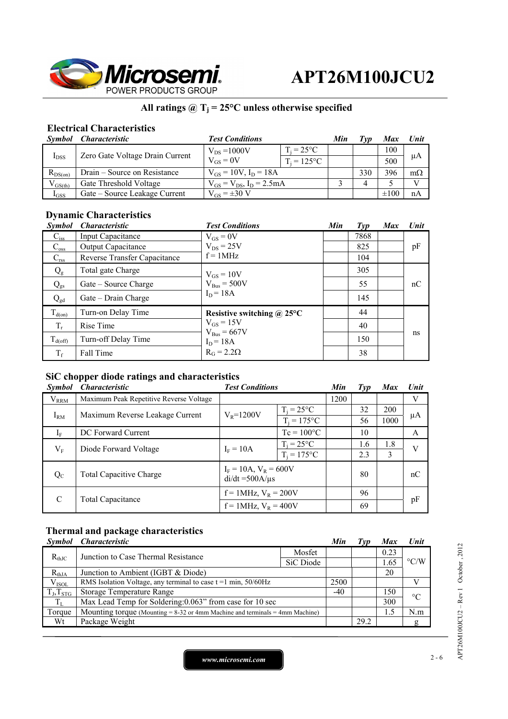

## All ratings  $@T_j = 25°C$  unless otherwise specified

## **Electrical Characteristics**

|              | Symbol Characteristic           | <b>Test Conditions</b>             |                     | Min | Tvp | Max       | Unit      |
|--------------|---------------------------------|------------------------------------|---------------------|-----|-----|-----------|-----------|
| $I_{DSS}$    | Zero Gate Voltage Drain Current | $V_{DS} = 1000V$                   | $T_i = 25^{\circ}C$ |     |     | 100       |           |
|              |                                 | $V_{GS} = 0V$                      | $T_i = 125$ °C      |     |     | 500       | μA        |
| $R_{DS(on)}$ | Drain – Source on Resistance    | $V_{GS} = 10V$ , $I_D = 18A$       |                     |     | 330 | 396       | $m\Omega$ |
| $V_{GS(th)}$ | Gate Threshold Voltage          | $V_{GS} = V_{DS}$ , $I_D = 2.5 mA$ |                     |     |     |           |           |
| $I_{GSS}$    | Gate – Source Leakage Current   | $V_{GS} = \pm 30 V$                |                     |     |     | $\pm 100$ | nA        |

## **Dynamic Characteristics**

| <b>Symbol</b>       | <b>Characteristic</b>        | <b>Test Conditions</b>            | Min | $\mathcal{I}yp$ | <b>Max</b> | Unit |
|---------------------|------------------------------|-----------------------------------|-----|-----------------|------------|------|
| $C_{iss}$           | <b>Input Capacitance</b>     | $V_{GS} = 0V$                     |     | 7868            |            |      |
| $C_{\rm oss}$       | Output Capacitance           | $V_{DS}$ = 25V                    |     | 825             |            | pF   |
| $C_{\rm rss}$       | Reverse Transfer Capacitance | $f = 1MHz$                        |     | 104             |            |      |
| $Q_{\rm g}$         | Total gate Charge            | $V_{GS} = 10V$                    |     | 305             |            |      |
| $Q_{gs}$            | Gate – Source Charge         | $V_{Bus} = 500V$                  |     | 55              |            | nC   |
| $Q_{gd}$            | Gate – Drain Charge          | $I_D = 18A$                       |     | 145             |            |      |
| $T_{d(on)}$         | Turn-on Delay Time           | Resistive switching $\omega$ 25°C |     | 44              |            |      |
| $T_r$               | Rise Time                    | $V_{GS}$ = 15V                    |     | 40              |            |      |
| $T_{d(\text{off})}$ | Turn-off Delay Time          | $V_{Bus} = 667V$<br>$I_D = 18A$   |     | 150             |            | ns   |
| $T_f$               | Fall Time                    | $R_G = 2.2\Omega$                 |     | 38              |            |      |

## **SiC chopper diode ratings and characteristics**

| <b>Symbol</b>                                                  | <i>Characteristic</i>                   | <b>Test Conditions</b>                               |                     | Min  | Type | <b>Max</b> | <b>Unit</b> |
|----------------------------------------------------------------|-----------------------------------------|------------------------------------------------------|---------------------|------|------|------------|-------------|
| $V_{RRM}$                                                      | Maximum Peak Repetitive Reverse Voltage |                                                      |                     | 1200 |      |            | V           |
| $I_{RM}$<br>$V_{R} = 1200V$<br>Maximum Reverse Leakage Current |                                         |                                                      | $T_i = 25^{\circ}C$ |      | 32   | 200        |             |
|                                                                | $T_i = 175$ °C                          |                                                      | 56                  | 1000 | μA   |            |             |
| $I_F$                                                          | DC Forward Current                      |                                                      | $Tc = 100^{\circ}C$ |      | 10   |            | A           |
| $V_{\rm F}$                                                    | Diode Forward Voltage                   | $T_i = 25^{\circ}C$<br>$I_F = 10A$<br>$T_i = 175$ °C |                     |      | 1.6  | 1.8        | V           |
|                                                                |                                         |                                                      |                     | 2.3  | 3    |            |             |
| $Q_{C}$                                                        | <b>Total Capacitive Charge</b>          | $I_F = 10A$ , $V_R = 600V$<br>$di/dt = 500A/\mu s$   |                     |      | 80   |            | nC          |
| C                                                              |                                         | $f = 1$ MHz, $V_R = 200V$                            |                     |      | 96   |            |             |
|                                                                | <b>Total Capacitance</b>                | $f = 1$ MHz, $V_R = 400V$                            |                     |      | 69   |            | pF          |

## **Thermal and package characteristics**

| <i>Symbol</i>  | <i><b>Characteristic</b></i>                                                      |           | Min   | $\angle IVD$ | <b>Max</b> | <b>Unit</b>        |
|----------------|-----------------------------------------------------------------------------------|-----------|-------|--------------|------------|--------------------|
| $R_{th,IC}$    | Junction to Case Thermal Resistance                                               | Mosfet    |       |              | 0.23       | $\rm ^{\circ} C/W$ |
|                |                                                                                   | SiC Diode |       |              | 1.65       |                    |
| $R_{thJA}$     | Junction to Ambient (IGBT & Diode)                                                |           |       |              | 20         |                    |
| $V_{ISOL}$     | RMS Isolation Voltage, any terminal to case $t = 1$ min, $50/60$ Hz               |           | 2500  |              |            |                    |
| $T_J, T_{STG}$ | <b>Storage Temperature Range</b>                                                  |           | $-40$ |              | 150        | $\rm ^{\circ}C$    |
| $T_{L}$        | Max Lead Temp for Soldering: 0.063" from case for 10 sec                          |           |       |              | 300        |                    |
| Torque         | Mounting torque (Mounting $= 8-32$ or 4mm Machine and terminals $= 4$ mm Machine) |           |       |              | 1.5        | N.m                |
| Wt             | Package Weight                                                                    |           |       | 29.2         |            | g                  |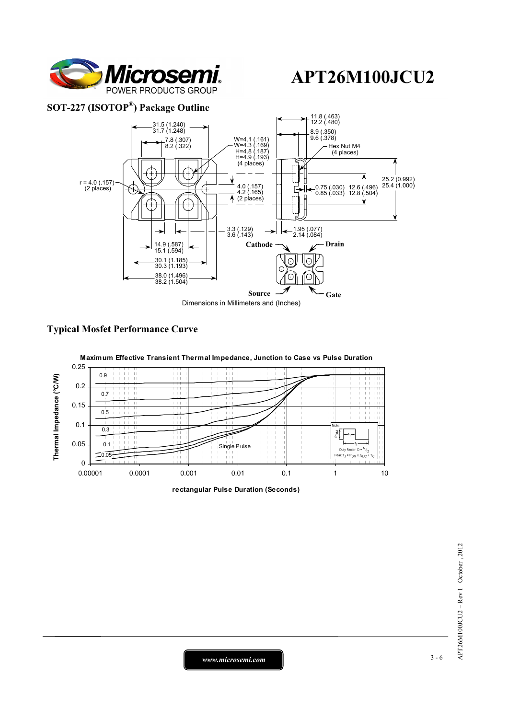

### **SOT-227 (ISOTOP®) Package Outline**



### **Typical Mosfet Performance Curve**



**rectangular Pulse Duration (Seconds)**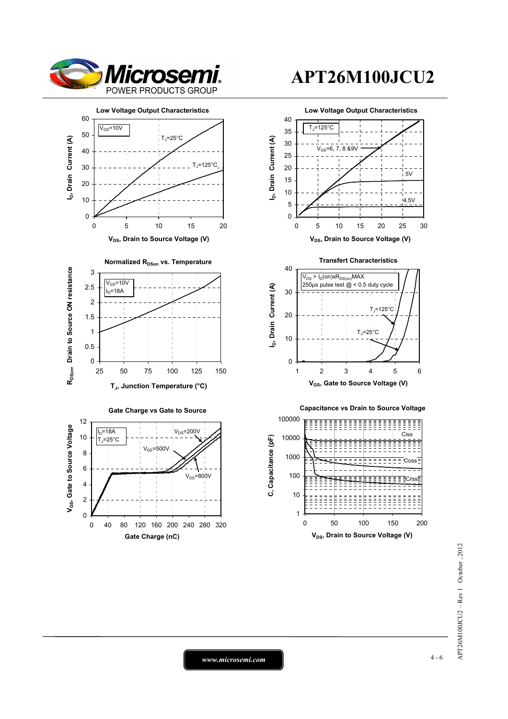











1

10

0 50 100 150 200 **V<sub>DS</sub>**, Drain to Source Voltage (V)

*www.microsemi.com* 4-6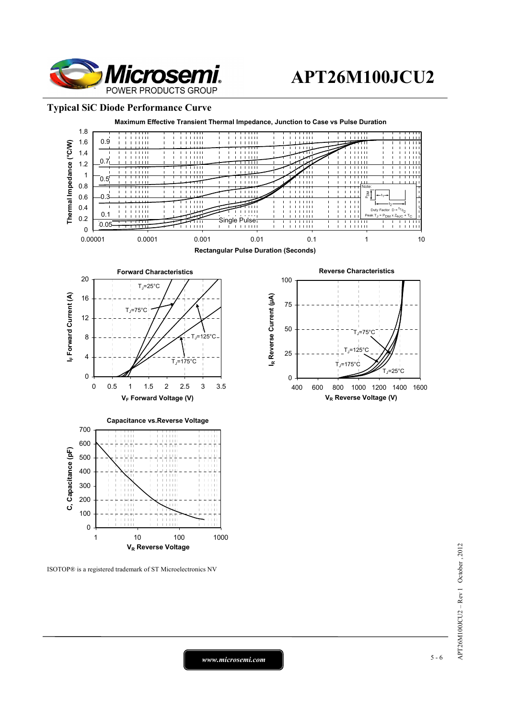

#### **Typical SiC Diode Performance Curve**



ISOTOP® is a registered trademark of ST Microelectronics NV

*www.microsemi.com* 5-6